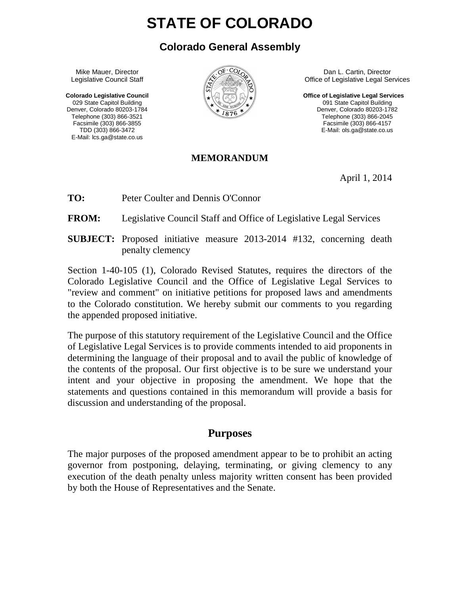# **STATE OF COLORADO**

### **Colorado General Assembly**

 Mike Mauer, Director Legislative Council Staff

 **Colorado Legislative Council**  029 State Capitol Building Denver, Colorado 80203-1784 Telephone (303) 866-3521 Facsimile (303) 866-3855 TDD (303) 866-3472 E-Mail: lcs.ga@state.co.us



 Dan L. Cartin, Director Office of Legislative Legal Services

**Office of Legislative Legal Services**  091 State Capitol Building Denver, Colorado 80203-1782 Telephone (303) 866-2045 Facsimile (303) 866-4157 E-Mail: ols.ga@state.co.us

#### **MEMORANDUM**

April 1, 2014

**TO:** Peter Coulter and Dennis O'Connor

**FROM:** Legislative Council Staff and Office of Legislative Legal Services

**SUBJECT:** Proposed initiative measure 2013-2014 #132, concerning death penalty clemency

Section 1-40-105 (1), Colorado Revised Statutes, requires the directors of the Colorado Legislative Council and the Office of Legislative Legal Services to "review and comment" on initiative petitions for proposed laws and amendments to the Colorado constitution. We hereby submit our comments to you regarding the appended proposed initiative.

The purpose of this statutory requirement of the Legislative Council and the Office of Legislative Legal Services is to provide comments intended to aid proponents in determining the language of their proposal and to avail the public of knowledge of the contents of the proposal. Our first objective is to be sure we understand your intent and your objective in proposing the amendment. We hope that the statements and questions contained in this memorandum will provide a basis for discussion and understanding of the proposal.

#### **Purposes**

The major purposes of the proposed amendment appear to be to prohibit an acting governor from postponing, delaying, terminating, or giving clemency to any execution of the death penalty unless majority written consent has been provided by both the House of Representatives and the Senate.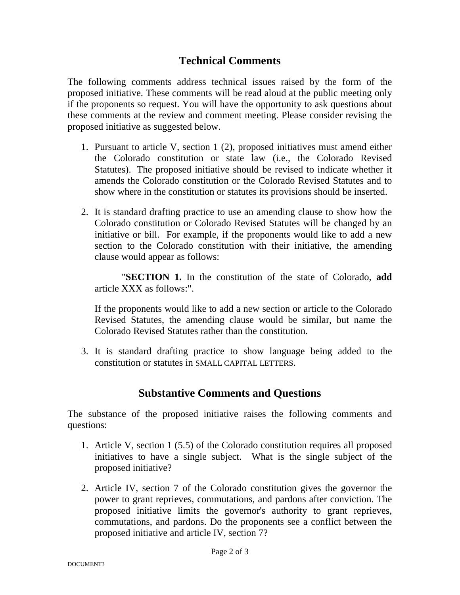# **Technical Comments**

The following comments address technical issues raised by the form of the proposed initiative. These comments will be read aloud at the public meeting only if the proponents so request. You will have the opportunity to ask questions about these comments at the review and comment meeting. Please consider revising the proposed initiative as suggested below.

- 1. Pursuant to article V, section 1 (2), proposed initiatives must amend either the Colorado constitution or state law (i.e., the Colorado Revised Statutes). The proposed initiative should be revised to indicate whether it amends the Colorado constitution or the Colorado Revised Statutes and to show where in the constitution or statutes its provisions should be inserted.
- 2. It is standard drafting practice to use an amending clause to show how the Colorado constitution or Colorado Revised Statutes will be changed by an initiative or bill. For example, if the proponents would like to add a new section to the Colorado constitution with their initiative, the amending clause would appear as follows:

"**SECTION 1.** In the constitution of the state of Colorado, **add** article XXX as follows:".

If the proponents would like to add a new section or article to the Colorado Revised Statutes, the amending clause would be similar, but name the Colorado Revised Statutes rather than the constitution.

3. It is standard drafting practice to show language being added to the constitution or statutes in SMALL CAPITAL LETTERS.

## **Substantive Comments and Questions**

The substance of the proposed initiative raises the following comments and questions:

- 1. Article V, section 1 (5.5) of the Colorado constitution requires all proposed initiatives to have a single subject. What is the single subject of the proposed initiative?
- 2. Article IV, section 7 of the Colorado constitution gives the governor the power to grant reprieves, commutations, and pardons after conviction. The proposed initiative limits the governor's authority to grant reprieves, commutations, and pardons. Do the proponents see a conflict between the proposed initiative and article IV, section 7?